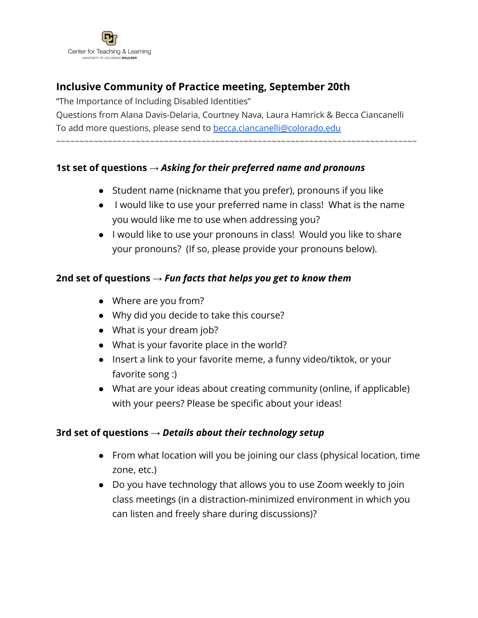

# **Inclusive Community of Practice meeting, September 20th**

"The Importance of Including Disabled Identities" Questions from Alana Davis-Delaria, Courtney Nava, Laura Hamrick & Becca Ciancanelli To add more questions, please send to [becca.ciancanelli@colorado.edu](mailto:becca.ciancanelli@colorado.edu) ~~~~~~~~~~~~~~~~~~~~~~~~~~~~~~~~~~~~~~~~~~~~~~~~~~~~~~~~~~~~~~~~~~~~~~~~~~~~~

### **1st set of questions →** *Asking for their preferred name and pronouns*

- Student name (nickname that you prefer), pronouns if you like
- I would like to use your preferred name in class! What is the name you would like me to use when addressing you?
- I would like to use your pronouns in class! Would you like to share your pronouns? (If so, please provide your pronouns below).

### **2nd set of questions →** *Fun facts that helps you get to know them*

- Where are you from?
- Why did you decide to take this course?
- What is your dream job?
- What is your favorite place in the world?
- Insert a link to your favorite meme, a funny video/tiktok, or your favorite song :)
- What are your ideas about creating community (online, if applicable) with your peers? Please be specific about your ideas!

#### **3rd set of questions →** *Details about their technology setup*

- From what location will you be joining our class (physical location, time zone, etc.)
- Do you have technology that allows you to use Zoom weekly to join class meetings (in a distraction-minimized environment in which you can listen and freely share during discussions)?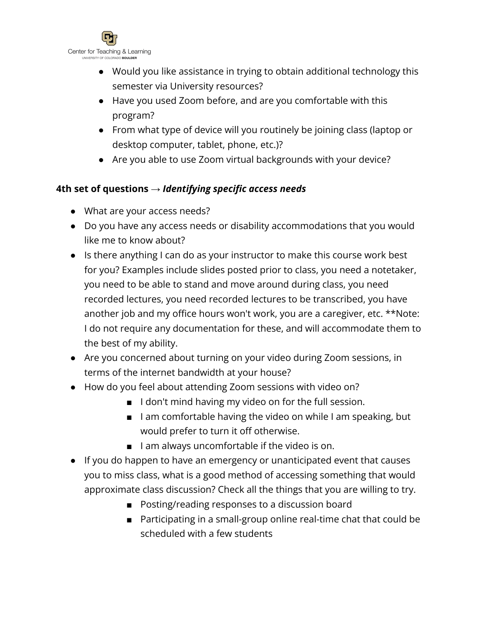

- Would you like assistance in trying to obtain additional technology this semester via University resources?
- Have you used Zoom before, and are you comfortable with this program?
- From what type of device will you routinely be joining class (laptop or desktop computer, tablet, phone, etc.)?
- Are you able to use Zoom virtual backgrounds with your device?

## **4th set of questions →** *Identifying specific access needs*

- What are your access needs?
- Do you have any access needs or disability accommodations that you would like me to know about?
- Is there anything I can do as your instructor to make this course work best for you? Examples include slides posted prior to class, you need a notetaker, you need to be able to stand and move around during class, you need recorded lectures, you need recorded lectures to be transcribed, you have another job and my office hours won't work, you are a caregiver, etc. \*\*Note: I do not require any documentation for these, and will accommodate them to the best of my ability.
- Are you concerned about turning on your video during Zoom sessions, in terms of the internet bandwidth at your house?
- How do you feel about attending Zoom sessions with video on?
	- I don't mind having my video on for the full session.
	- I am comfortable having the video on while I am speaking, but would prefer to turn it off otherwise.
	- I am always uncomfortable if the video is on.
- If you do happen to have an emergency or unanticipated event that causes you to miss class, what is a good method of accessing something that would approximate class discussion? Check all the things that you are willing to try.
	- Posting/reading responses to a discussion board
	- Participating in a small-group online real-time chat that could be scheduled with a few students